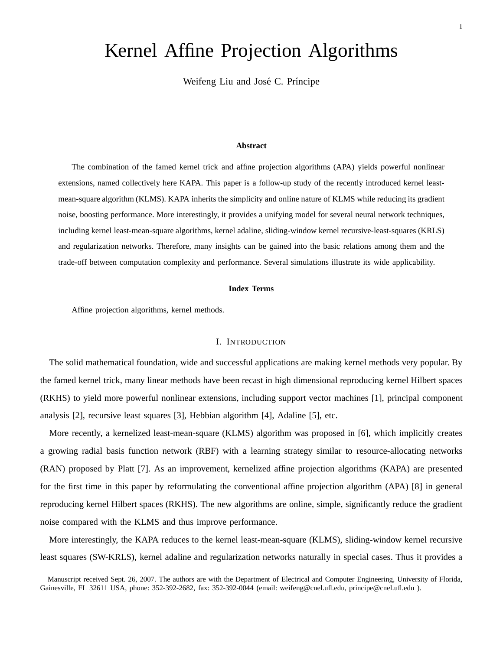# Kernel Affine Projection Algorithms

Weifeng Liu and José C. Príncipe

# **Abstract**

The combination of the famed kernel trick and affine projection algorithms (APA) yields powerful nonlinear extensions, named collectively here KAPA. This paper is a follow-up study of the recently introduced kernel leastmean-square algorithm (KLMS). KAPA inherits the simplicity and online nature of KLMS while reducing its gradient noise, boosting performance. More interestingly, it provides a unifying model for several neural network techniques, including kernel least-mean-square algorithms, kernel adaline, sliding-window kernel recursive-least-squares (KRLS) and regularization networks. Therefore, many insights can be gained into the basic relations among them and the trade-off between computation complexity and performance. Several simulations illustrate its wide applicability.

# **Index Terms**

Affine projection algorithms, kernel methods.

### I. INTRODUCTION

The solid mathematical foundation, wide and successful applications are making kernel methods very popular. By the famed kernel trick, many linear methods have been recast in high dimensional reproducing kernel Hilbert spaces (RKHS) to yield more powerful nonlinear extensions, including support vector machines [1], principal component analysis [2], recursive least squares [3], Hebbian algorithm [4], Adaline [5], etc.

More recently, a kernelized least-mean-square (KLMS) algorithm was proposed in [6], which implicitly creates a growing radial basis function network (RBF) with a learning strategy similar to resource-allocating networks (RAN) proposed by Platt [7]. As an improvement, kernelized affine projection algorithms (KAPA) are presented for the first time in this paper by reformulating the conventional affine projection algorithm (APA) [8] in general reproducing kernel Hilbert spaces (RKHS). The new algorithms are online, simple, significantly reduce the gradient noise compared with the KLMS and thus improve performance.

More interestingly, the KAPA reduces to the kernel least-mean-square (KLMS), sliding-window kernel recursive least squares (SW-KRLS), kernel adaline and regularization networks naturally in special cases. Thus it provides a

Manuscript received Sept. 26, 2007. The authors are with the Department of Electrical and Computer Engineering, University of Florida, Gainesville, FL 32611 USA, phone: 352-392-2682, fax: 352-392-0044 (email: weifeng@cnel.ufl.edu, principe@cnel.ufl.edu ).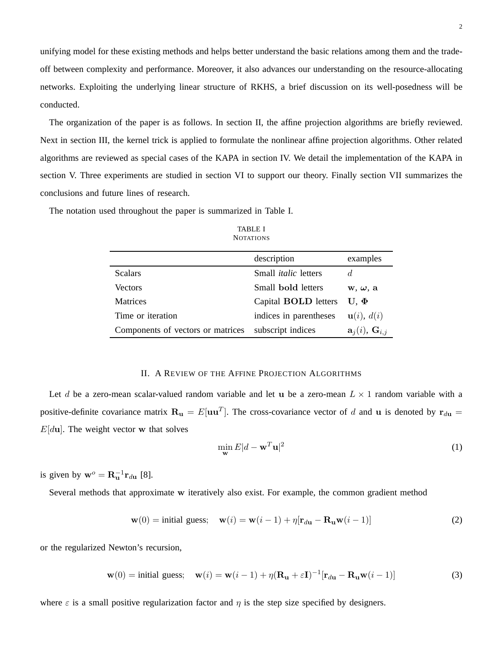unifying model for these existing methods and helps better understand the basic relations among them and the tradeoff between complexity and performance. Moreover, it also advances our understanding on the resource-allocating networks. Exploiting the underlying linear structure of RKHS, a brief discussion on its well-posedness will be conducted.

The organization of the paper is as follows. In section II, the affine projection algorithms are briefly reviewed. Next in section III, the kernel trick is applied to formulate the nonlinear affine projection algorithms. Other related algorithms are reviewed as special cases of the KAPA in section IV. We detail the implementation of the KAPA in section V. Three experiments are studied in section VI to support our theory. Finally section VII summarizes the conclusions and future lines of research.

The notation used throughout the paper is summarized in Table I.

| TABLE I   |  |
|-----------|--|
| NOTATIONS |  |

|                                   | description                 | examples                               |
|-----------------------------------|-----------------------------|----------------------------------------|
| <b>Scalars</b>                    | Small <i>italic</i> letters | d                                      |
| <b>Vectors</b>                    | Small bold letters          | $w, \omega, a$                         |
| Matrices                          | Capital <b>BOLD</b> letters | $U \Phi$                               |
| Time or iteration                 | indices in parentheses      | $\mathbf{u}(i), d(i)$                  |
| Components of vectors or matrices | subscript indices           | $\mathbf{a}_i(i)$ , $\mathbf{G}_{i,j}$ |

# II. A REVIEW OF THE AFFINE PROJECTION ALGORITHMS

Let d be a zero-mean scalar-valued random variable and let u be a zero-mean  $L \times 1$  random variable with a positive-definite covariance matrix  $\mathbf{R}_{\mathbf{u}} = E[\mathbf{u}\mathbf{u}^T]$ . The cross-covariance vector of d and **u** is denoted by  $\mathbf{r}_{d\mathbf{u}} =$  $E[du]$ . The weight vector w that solves

$$
\min_{\mathbf{w}} E|d - \mathbf{w}^T \mathbf{u}|^2
$$
 (1)

is given by  $\mathbf{w}^o = \mathbf{R}_{\mathbf{u}}^{-1} \mathbf{r}_{d\mathbf{u}}$  [8].

Several methods that approximate w iteratively also exist. For example, the common gradient method

$$
\mathbf{w}(0) = \text{initial guess}; \quad \mathbf{w}(i) = \mathbf{w}(i-1) + \eta[\mathbf{r}_{d\mathbf{u}} - \mathbf{R}_{\mathbf{u}}\mathbf{w}(i-1)] \tag{2}
$$

or the regularized Newton's recursion,

$$
\mathbf{w}(0) = \text{initial guess}; \quad \mathbf{w}(i) = \mathbf{w}(i-1) + \eta (\mathbf{R}_{\mathbf{u}} + \varepsilon \mathbf{I})^{-1} [\mathbf{r}_{d\mathbf{u}} - \mathbf{R}_{\mathbf{u}} \mathbf{w}(i-1)] \tag{3}
$$

where  $\varepsilon$  is a small positive regularization factor and  $\eta$  is the step size specified by designers.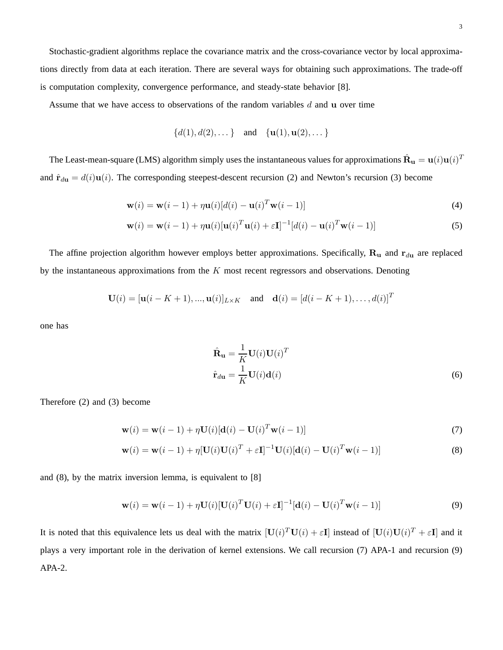Stochastic-gradient algorithms replace the covariance matrix and the cross-covariance vector by local approximations directly from data at each iteration. There are several ways for obtaining such approximations. The trade-off is computation complexity, convergence performance, and steady-state behavior [8].

Assume that we have access to observations of the random variables  $d$  and  $\bf{u}$  over time

$$
\{d(1), d(2), \dots\} \quad \text{and} \quad \{\mathbf{u}(1), \mathbf{u}(2), \dots\}
$$

The Least-mean-square (LMS) algorithm simply uses the instantaneous values for approximations  $\hat{\bf R}_{\bf u}={\bf u}(i){\bf u}(i)^T$ and  $\hat{\mathbf{r}}_{d\mathbf{u}} = d(i)\mathbf{u}(i)$ . The corresponding steepest-descent recursion (2) and Newton's recursion (3) become

$$
\mathbf{w}(i) = \mathbf{w}(i-1) + \eta \mathbf{u}(i)[d(i) - \mathbf{u}(i)^T \mathbf{w}(i-1)]
$$
\n(4)

$$
\mathbf{w}(i) = \mathbf{w}(i-1) + \eta \mathbf{u}(i) [\mathbf{u}(i)^T \mathbf{u}(i) + \varepsilon \mathbf{I}]^{-1} [d(i) - \mathbf{u}(i)^T \mathbf{w}(i-1)] \tag{5}
$$

The affine projection algorithm however employs better approximations. Specifically,  $\mathbf{R}_{\mathbf{u}}$  and  $\mathbf{r}_{d\mathbf{u}}$  are replaced by the instantaneous approximations from the  $K$  most recent regressors and observations. Denoting

$$
\mathbf{U}(i) = [\mathbf{u}(i - K + 1), ..., \mathbf{u}(i)]_{L \times K} \quad \text{and} \quad \mathbf{d}(i) = [d(i - K + 1), ..., d(i)]^T
$$

one has

$$
\hat{\mathbf{R}}_{\mathbf{u}} = \frac{1}{K} \mathbf{U}(i) \mathbf{U}(i)^{T}
$$
\n
$$
\hat{\mathbf{r}}_{d\mathbf{u}} = \frac{1}{K} \mathbf{U}(i) \mathbf{d}(i)
$$
\n(6)

Therefore (2) and (3) become

$$
\mathbf{w}(i) = \mathbf{w}(i-1) + \eta \mathbf{U}(i)[\mathbf{d}(i) - \mathbf{U}(i)^T \mathbf{w}(i-1)]
$$
\n(7)

$$
\mathbf{w}(i) = \mathbf{w}(i-1) + \eta [\mathbf{U}(i)\mathbf{U}(i)^{T} + \varepsilon \mathbf{I}]^{-1} \mathbf{U}(i)[\mathbf{d}(i) - \mathbf{U}(i)^{T}\mathbf{w}(i-1)]
$$
(8)

and (8), by the matrix inversion lemma, is equivalent to [8]

$$
\mathbf{w}(i) = \mathbf{w}(i-1) + \eta \mathbf{U}(i) [\mathbf{U}(i)^T \mathbf{U}(i) + \varepsilon \mathbf{I}]^{-1} [\mathbf{d}(i) - \mathbf{U}(i)^T \mathbf{w}(i-1)] \tag{9}
$$

It is noted that this equivalence lets us deal with the matrix  $[\mathbf{U}(i)^T \mathbf{U}(i) + \varepsilon \mathbf{I}]$  instead of  $[\mathbf{U}(i)\mathbf{U}(i)^T + \varepsilon \mathbf{I}]$  and it plays a very important role in the derivation of kernel extensions. We call recursion (7) APA-1 and recursion (9) APA-2.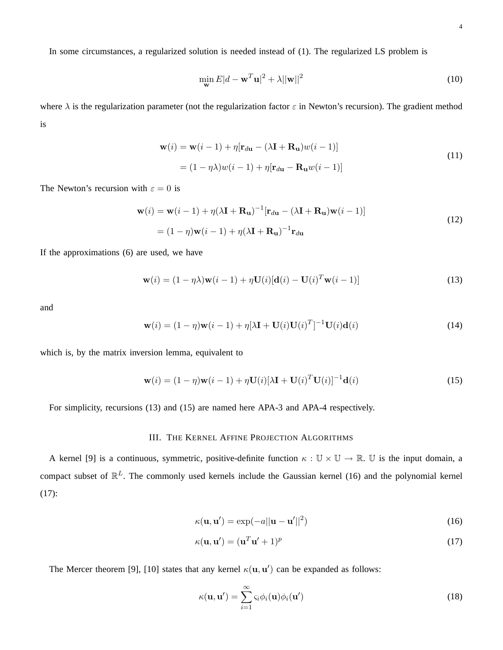In some circumstances, a regularized solution is needed instead of (1). The regularized LS problem is

$$
\min_{\mathbf{w}} E|d - \mathbf{w}^T \mathbf{u}|^2 + \lambda ||\mathbf{w}||^2
$$
\n(10)

where  $\lambda$  is the regularization parameter (not the regularization factor  $\varepsilon$  in Newton's recursion). The gradient method is

$$
\mathbf{w}(i) = \mathbf{w}(i-1) + \eta[\mathbf{r}_{d\mathbf{u}} - (\lambda \mathbf{I} + \mathbf{R}_{\mathbf{u}})w(i-1)]
$$
  
=  $(1 - \eta \lambda)w(i-1) + \eta[\mathbf{r}_{d\mathbf{u}} - \mathbf{R}_{\mathbf{u}}w(i-1)]$  (11)

The Newton's recursion with  $\varepsilon = 0$  is

$$
\mathbf{w}(i) = \mathbf{w}(i-1) + \eta(\lambda \mathbf{I} + \mathbf{R}_{\mathbf{u}})^{-1} [\mathbf{r}_{d\mathbf{u}} - (\lambda \mathbf{I} + \mathbf{R}_{\mathbf{u}}) \mathbf{w}(i-1)]
$$
  
=  $(1 - \eta)\mathbf{w}(i - 1) + \eta(\lambda \mathbf{I} + \mathbf{R}_{\mathbf{u}})^{-1} \mathbf{r}_{d\mathbf{u}}$  (12)

If the approximations (6) are used, we have

$$
\mathbf{w}(i) = (1 - \eta \lambda)\mathbf{w}(i - 1) + \eta \mathbf{U}(i)[\mathbf{d}(i) - \mathbf{U}(i)^T \mathbf{w}(i - 1)]
$$
\n(13)

and

$$
\mathbf{w}(i) = (1 - \eta)\mathbf{w}(i - 1) + \eta[\lambda \mathbf{I} + \mathbf{U}(i)\mathbf{U}(i)^{T}]^{-1}\mathbf{U}(i)\mathbf{d}(i)
$$
\n(14)

which is, by the matrix inversion lemma, equivalent to

$$
\mathbf{w}(i) = (1 - \eta)\mathbf{w}(i - 1) + \eta \mathbf{U}(i)[\lambda \mathbf{I} + \mathbf{U}(i)^T \mathbf{U}(i)]^{-1} \mathbf{d}(i)
$$
\n(15)

For simplicity, recursions (13) and (15) are named here APA-3 and APA-4 respectively.

# III. THE KERNEL AFFINE PROJECTION ALGORITHMS

A kernel [9] is a continuous, symmetric, positive-definite function  $\kappa : \mathbb{U} \times \mathbb{U} \to \mathbb{R}$ . U is the input domain, a compact subset of  $\mathbb{R}^L$ . The commonly used kernels include the Gaussian kernel (16) and the polynomial kernel  $(17)$ :

$$
\kappa(\mathbf{u}, \mathbf{u}') = \exp(-a||\mathbf{u} - \mathbf{u}'||^2)
$$
 (16)

$$
\kappa(\mathbf{u}, \mathbf{u}') = (\mathbf{u}^T \mathbf{u}' + 1)^p \tag{17}
$$

The Mercer theorem [9], [10] states that any kernel  $\kappa(\mathbf{u}, \mathbf{u}')$  can be expanded as follows:

$$
\kappa(\mathbf{u}, \mathbf{u}') = \sum_{i=1}^{\infty} \varsigma_i \phi_i(\mathbf{u}) \phi_i(\mathbf{u}')
$$
 (18)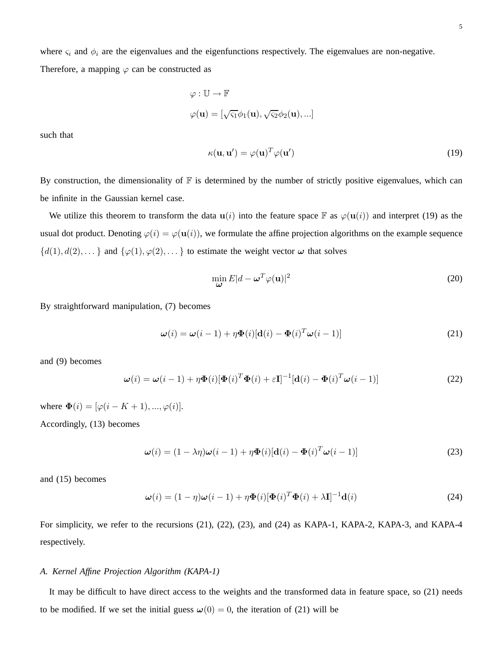where  $\varsigma_i$  and  $\phi_i$  are the eigenvalues and the eigenfunctions respectively. The eigenvalues are non-negative. Therefore, a mapping  $\varphi$  can be constructed as

$$
\varphi : \mathbb{U} \to \mathbb{F}
$$

$$
\varphi(\mathbf{u}) = [\sqrt{\varsigma_1} \phi_1(\mathbf{u}), \sqrt{\varsigma_2} \phi_2(\mathbf{u}), \ldots]
$$

such that

$$
\kappa(\mathbf{u}, \mathbf{u}') = \varphi(\mathbf{u})^T \varphi(\mathbf{u}') \tag{19}
$$

By construction, the dimensionality of  $\mathbb F$  is determined by the number of strictly positive eigenvalues, which can be infinite in the Gaussian kernel case.

We utilize this theorem to transform the data  $u(i)$  into the feature space F as  $\varphi(u(i))$  and interpret (19) as the usual dot product. Denoting  $\varphi(i) = \varphi(\mathbf{u}(i))$ , we formulate the affine projection algorithms on the example sequence  $\{d(1), d(2), \ldots\}$  and  $\{\varphi(1), \varphi(2), \ldots\}$  to estimate the weight vector  $\omega$  that solves

$$
\min_{\mathbf{\omega}} E|d - \mathbf{\omega}^T \varphi(\mathbf{u})|^2 \tag{20}
$$

By straightforward manipulation, (7) becomes

$$
\boldsymbol{\omega}(i) = \boldsymbol{\omega}(i-1) + \eta \boldsymbol{\Phi}(i) [\mathbf{d}(i) - \boldsymbol{\Phi}(i)^T \boldsymbol{\omega}(i-1)] \tag{21}
$$

and (9) becomes

$$
\boldsymbol{\omega}(i) = \boldsymbol{\omega}(i-1) + \eta \boldsymbol{\Phi}(i) [\boldsymbol{\Phi}(i)^T \boldsymbol{\Phi}(i) + \varepsilon \mathbf{I}]^{-1} [\mathbf{d}(i) - \boldsymbol{\Phi}(i)^T \boldsymbol{\omega}(i-1)] \tag{22}
$$

where  $\mathbf{\Phi}(i) = [\varphi(i-K+1), ..., \varphi(i)].$ 

Accordingly, (13) becomes

$$
\boldsymbol{\omega}(i) = (1 - \lambda \eta) \boldsymbol{\omega}(i - 1) + \eta \boldsymbol{\Phi}(i) [\mathbf{d}(i) - \boldsymbol{\Phi}(i)^T \boldsymbol{\omega}(i - 1)] \tag{23}
$$

and (15) becomes

$$
\boldsymbol{\omega}(i) = (1 - \eta)\boldsymbol{\omega}(i - 1) + \eta\boldsymbol{\Phi}(i)[\boldsymbol{\Phi}(i)^T\boldsymbol{\Phi}(i) + \lambda\mathbf{I}]^{-1}\mathbf{d}(i)
$$
\n(24)

For simplicity, we refer to the recursions (21), (22), (23), and (24) as KAPA-1, KAPA-2, KAPA-3, and KAPA-4 respectively.

### *A. Kernel Affine Projection Algorithm (KAPA-1)*

It may be difficult to have direct access to the weights and the transformed data in feature space, so (21) needs to be modified. If we set the initial guess  $\omega(0) = 0$ , the iteration of (21) will be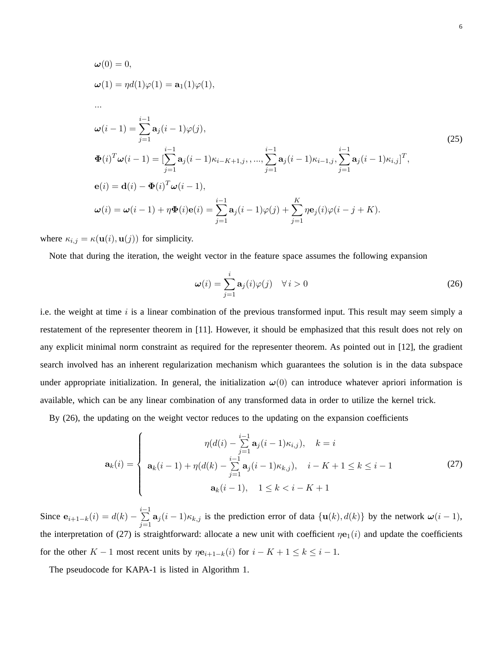$$
\omega(0) = 0,
$$
  
\n
$$
\omega(1) = \eta d(1)\varphi(1) = \mathbf{a}_1(1)\varphi(1),
$$
  
\n...\n
$$
\omega(i-1) = \sum_{j=1}^{i-1} \mathbf{a}_j(i-1)\varphi(j),
$$
  
\n
$$
\Phi(i)^T \omega(i-1) = \left[\sum_{j=1}^{i-1} \mathbf{a}_j(i-1)\kappa_{i-K+1,j}, \dots, \sum_{j=1}^{i-1} \mathbf{a}_j(i-1)\kappa_{i-1,j}, \sum_{j=1}^{i-1} \mathbf{a}_j(i-1)\kappa_{i,j}\right]^T,
$$
  
\n
$$
\mathbf{e}(i) = \mathbf{d}(i) - \Phi(i)^T \omega(i-1),
$$
  
\n
$$
\omega(i) = \omega(i-1) + \eta \Phi(i)\mathbf{e}(i) = \sum_{j=1}^{i-1} \mathbf{a}_j(i-1)\varphi(j) + \sum_{j=1}^K \eta \mathbf{e}_j(i)\varphi(i-j+K).
$$
\n(25)

where  $\kappa_{i,j} = \kappa(\mathbf{u}(i), \mathbf{u}(j))$  for simplicity.

Note that during the iteration, the weight vector in the feature space assumes the following expansion

$$
\omega(i) = \sum_{j=1}^{i} \mathbf{a}_j(i)\varphi(j) \quad \forall i > 0
$$
\n(26)

i.e. the weight at time  $i$  is a linear combination of the previous transformed input. This result may seem simply a restatement of the representer theorem in [11]. However, it should be emphasized that this result does not rely on any explicit minimal norm constraint as required for the representer theorem. As pointed out in [12], the gradient search involved has an inherent regularization mechanism which guarantees the solution is in the data subspace under appropriate initialization. In general, the initialization  $\omega(0)$  can introduce whatever apriori information is available, which can be any linear combination of any transformed data in order to utilize the kernel trick.

By (26), the updating on the weight vector reduces to the updating on the expansion coefficients

$$
\mathbf{a}_{k}(i) = \begin{cases} \eta(d(i) - \sum_{j=1}^{i-1} \mathbf{a}_{j}(i-1)\kappa_{i,j}), & k = i \\ \mathbf{a}_{k}(i-1) + \eta(d(k) - \sum_{j=1}^{i-1} \mathbf{a}_{j}(i-1)\kappa_{k,j}), & i - K + 1 \leq k \leq i - 1 \\ \mathbf{a}_{k}(i-1), & 1 \leq k < i - K + 1 \end{cases}
$$
(27)

Since  $e_{i+1-k}(i) = d(k) - \sum_{i=1}^{i-1}$  $\sum_{j=1}^{\infty} a_j (i-1) \kappa_{k,j}$  is the prediction error of data  $\{u(k), d(k)\}\$  by the network  $\omega(i-1)$ , the interpretation of (27) is straightforward: allocate a new unit with coefficient  $n\mathbf{e}_1(i)$  and update the coefficients for the other K – 1 most recent units by  $\eta \mathbf{e}_{i+1-k}(i)$  for  $i - K + 1 \le k \le i - 1$ .

The pseudocode for KAPA-1 is listed in Algorithm 1.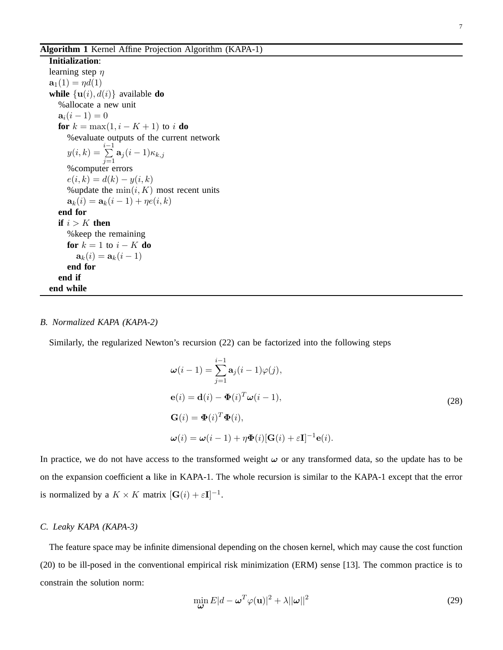**Initialization**: learning step  $\eta$  $\mathbf{a}_1(1) = \eta d(1)$ **while**  $\{u(i), d(i)\}\$ available **do** %allocate a new unit  $a_i(i-1) = 0$ **for**  $k = \max(1, i - K + 1)$  to i **do** %evaluate outputs of the current network  $y(i,k) = \sum_{i=1}^{k-1}$  $\sum_{j=1}^{\infty} \mathbf{a}_j (i-1) \kappa_{k,j}$ %computer errors  $e(i, k) = d(k) - y(i, k)$ %update the  $min(i, K)$  most recent units  $a_k(i) = a_k(i - 1) + \eta e(i, k)$ **end for if**  $i > K$  **then** %keep the remaining **for**  $k = 1$  to  $i - K$  **do**  $\mathbf{a}_k(i) = \mathbf{a}_k(i-1)$ **end for end if end while**

### *B. Normalized KAPA (KAPA-2)*

Similarly, the regularized Newton's recursion (22) can be factorized into the following steps

$$
\omega(i-1) = \sum_{j=1}^{i-1} \mathbf{a}_j(i-1)\varphi(j),
$$
  
\n
$$
\mathbf{e}(i) = \mathbf{d}(i) - \mathbf{\Phi}(i)^T \omega(i-1),
$$
  
\n
$$
\mathbf{G}(i) = \mathbf{\Phi}(i)^T \mathbf{\Phi}(i),
$$
  
\n
$$
\omega(i) = \omega(i-1) + \eta \mathbf{\Phi}(i) [\mathbf{G}(i) + \varepsilon \mathbf{I}]^{-1} \mathbf{e}(i).
$$
\n(28)

In practice, we do not have access to the transformed weight  $\omega$  or any transformed data, so the update has to be on the expansion coefficient a like in KAPA-1. The whole recursion is similar to the KAPA-1 except that the error is normalized by a  $K \times K$  matrix  $[\mathbf{G}(i) + \varepsilon \mathbf{I}]^{-1}$ .

### *C. Leaky KAPA (KAPA-3)*

The feature space may be infinite dimensional depending on the chosen kernel, which may cause the cost function (20) to be ill-posed in the conventional empirical risk minimization (ERM) sense [13]. The common practice is to constrain the solution norm:

$$
\min_{\boldsymbol{\omega}} E|d - \boldsymbol{\omega}^T \varphi(\mathbf{u})|^2 + \lambda ||\boldsymbol{\omega}||^2 \tag{29}
$$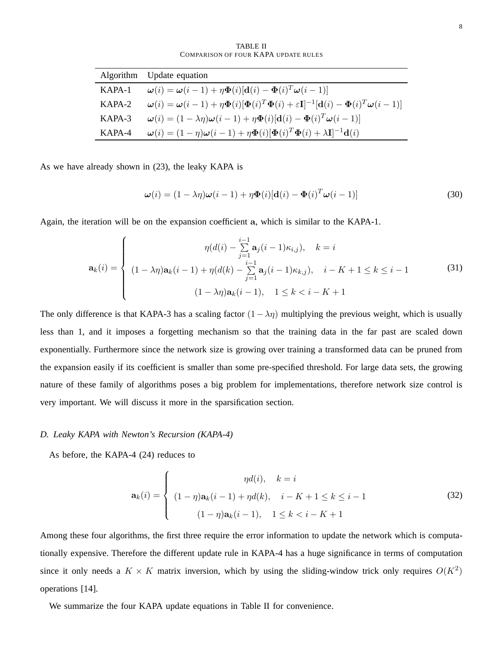TABLE II COMPARISON OF FOUR KAPA UPDATE RULES

|          | Algorithm Update equation                                                                                                                                                                                                     |
|----------|-------------------------------------------------------------------------------------------------------------------------------------------------------------------------------------------------------------------------------|
| KAPA-1   | $\boldsymbol{\omega}(i) = \boldsymbol{\omega}(i-1) + \eta \boldsymbol{\Phi}(i) [\mathbf{d}(i) - \boldsymbol{\Phi}(i)^T \boldsymbol{\omega}(i-1)]$                                                                             |
| $KAPA-2$ | $\boldsymbol{\omega}(i) = \boldsymbol{\omega}(i-1) + \eta \boldsymbol{\Phi}(i) [\boldsymbol{\Phi}(i)^T \boldsymbol{\Phi}(i) + \varepsilon \mathbf{I}]^{-1} [\mathbf{d}(i) - \boldsymbol{\Phi}(i)^T \boldsymbol{\omega}(i-1)]$ |
| KAPA-3   | $\boldsymbol{\omega}(i) = (1 - \lambda \eta) \boldsymbol{\omega}(i-1) + \eta \boldsymbol{\Phi}(i) [\mathbf{d}(i) - \boldsymbol{\Phi}(i)^T \boldsymbol{\omega}(i-1)]$                                                          |
| KAPA-4   | $\boldsymbol{\omega}(i) = (1 - \eta)\boldsymbol{\omega}(i - 1) + \eta\boldsymbol{\Phi}(i)[\boldsymbol{\Phi}(i)^T\boldsymbol{\Phi}(i) + \lambda\mathbf{I}]^{-1}\mathbf{d}(i)$                                                  |

As we have already shown in (23), the leaky KAPA is

$$
\boldsymbol{\omega}(i) = (1 - \lambda \eta) \boldsymbol{\omega}(i - 1) + \eta \boldsymbol{\Phi}(i) [\mathbf{d}(i) - \boldsymbol{\Phi}(i)^T \boldsymbol{\omega}(i - 1)] \tag{30}
$$

Again, the iteration will be on the expansion coefficient a, which is similar to the KAPA-1.

$$
\mathbf{a}_{k}(i) = \begin{cases}\n\eta(d(i) - \sum_{j=1}^{i-1} \mathbf{a}_{j}(i-1)\kappa_{i,j}), & k = i \\
(1 - \lambda\eta)\mathbf{a}_{k}(i-1) + \eta(d(k) - \sum_{j=1}^{i-1} \mathbf{a}_{j}(i-1)\kappa_{k,j}), & i - K + 1 \leq k \leq i - 1 \\
(1 - \lambda\eta)\mathbf{a}_{k}(i-1), & 1 \leq k < i - K + 1\n\end{cases}
$$
\n(31)

The only difference is that KAPA-3 has a scaling factor  $(1 - \lambda \eta)$  multiplying the previous weight, which is usually less than 1, and it imposes a forgetting mechanism so that the training data in the far past are scaled down exponentially. Furthermore since the network size is growing over training a transformed data can be pruned from the expansion easily if its coefficient is smaller than some pre-specified threshold. For large data sets, the growing nature of these family of algorithms poses a big problem for implementations, therefore network size control is very important. We will discuss it more in the sparsification section.

### *D. Leaky KAPA with Newton's Recursion (KAPA-4)*

As before, the KAPA-4 (24) reduces to

$$
\mathbf{a}_{k}(i) = \begin{cases} \eta d(i), & k = i \\ (1 - \eta)\mathbf{a}_{k}(i - 1) + \eta d(k), & i - K + 1 \le k \le i - 1 \\ (1 - \eta)\mathbf{a}_{k}(i - 1), & 1 \le k < i - K + 1 \end{cases}
$$
(32)

Among these four algorithms, the first three require the error information to update the network which is computationally expensive. Therefore the different update rule in KAPA-4 has a huge significance in terms of computation since it only needs a  $K \times K$  matrix inversion, which by using the sliding-window trick only requires  $O(K^2)$ operations [14].

We summarize the four KAPA update equations in Table II for convenience.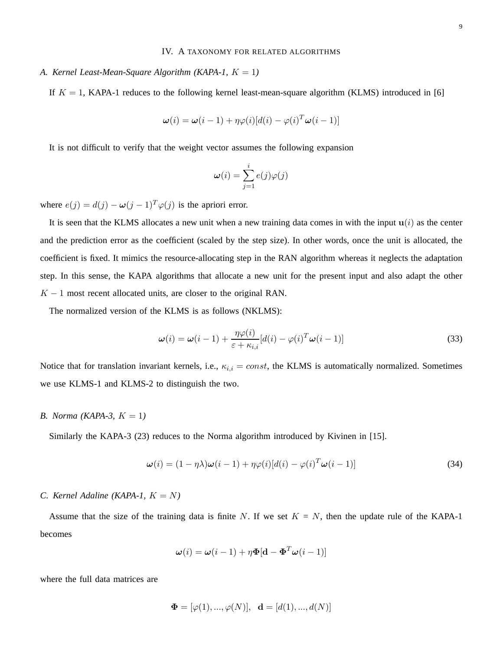### IV. A TAXONOMY FOR RELATED ALGORITHMS

# *A. Kernel Least-Mean-Square Algorithm (KAPA-1,*  $K = 1$ )

If  $K = 1$ , KAPA-1 reduces to the following kernel least-mean-square algorithm (KLMS) introduced in [6]

$$
\boldsymbol{\omega}(i) = \boldsymbol{\omega}(i-1) + \eta \varphi(i) [d(i) - \varphi(i)^T \boldsymbol{\omega}(i-1)]
$$

It is not difficult to verify that the weight vector assumes the following expansion

$$
\boldsymbol{\omega}(i) = \sum_{j=1}^i e(j) \varphi(j)
$$

where  $e(j) = d(j) - \omega(j-1)^T \varphi(j)$  is the apriori error.

It is seen that the KLMS allocates a new unit when a new training data comes in with the input  $u(i)$  as the center and the prediction error as the coefficient (scaled by the step size). In other words, once the unit is allocated, the coefficient is fixed. It mimics the resource-allocating step in the RAN algorithm whereas it neglects the adaptation step. In this sense, the KAPA algorithms that allocate a new unit for the present input and also adapt the other  $K - 1$  most recent allocated units, are closer to the original RAN.

The normalized version of the KLMS is as follows (NKLMS):

$$
\boldsymbol{\omega}(i) = \boldsymbol{\omega}(i-1) + \frac{\eta \varphi(i)}{\varepsilon + \kappa_{i,i}} [d(i) - \varphi(i)^T \boldsymbol{\omega}(i-1)] \tag{33}
$$

Notice that for translation invariant kernels, i.e.,  $\kappa_{i,i} = const$ , the KLMS is automatically normalized. Sometimes we use KLMS-1 and KLMS-2 to distinguish the two.

# *B. Norma (KAPA-3, K = 1)*

Similarly the KAPA-3 (23) reduces to the Norma algorithm introduced by Kivinen in [15].

$$
\boldsymbol{\omega}(i) = (1 - \eta \lambda) \boldsymbol{\omega}(i - 1) + \eta \varphi(i) [d(i) - \varphi(i)^T \boldsymbol{\omega}(i - 1)] \tag{34}
$$

# *C. Kernel Adaline (KAPA-1,*  $K = N$ *)*

Assume that the size of the training data is finite N. If we set  $K = N$ , then the update rule of the KAPA-1 becomes

$$
\boldsymbol{\omega}(i) = \boldsymbol{\omega}(i-1) + \eta \boldsymbol{\Phi}[\mathbf{d} - \boldsymbol{\Phi}^T \boldsymbol{\omega}(i-1)]
$$

where the full data matrices are

$$
\Phi = [\varphi(1), ..., \varphi(N)], \mathbf{d} = [d(1), ..., d(N)]
$$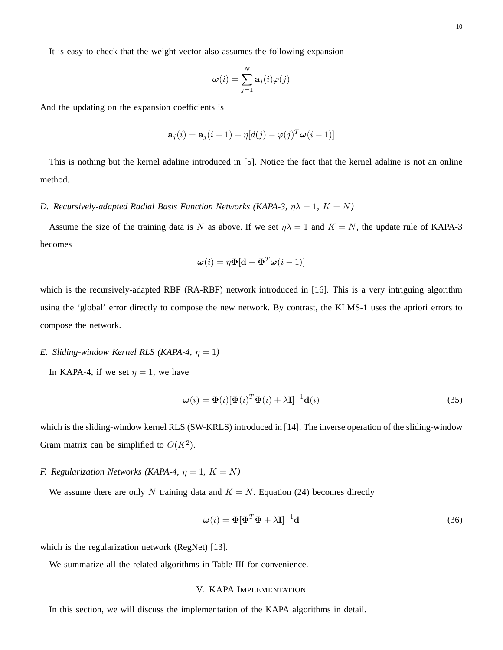$$
\pmb{\omega}(i) = \sum_{j=1}^N \mathbf{a}_j(i) \varphi(j)
$$

And the updating on the expansion coefficients is

$$
\mathbf{a}_j(i) = \mathbf{a}_j(i-1) + \eta[d(j) - \varphi(j)^T \boldsymbol{\omega}(i-1)]
$$

This is nothing but the kernel adaline introduced in [5]. Notice the fact that the kernel adaline is not an online method.

# *D. Recursively-adapted Radial Basis Function Networks (KAPA-3,*  $\eta \lambda = 1$ *, K = N)*

Assume the size of the training data is N as above. If we set  $\eta \lambda = 1$  and  $K = N$ , the update rule of KAPA-3 becomes

$$
\boldsymbol{\omega}(i) = \eta \boldsymbol{\Phi}[\mathbf{d} - \boldsymbol{\Phi}^T \boldsymbol{\omega}(i-1)]
$$

which is the recursively-adapted RBF (RA-RBF) network introduced in [16]. This is a very intriguing algorithm using the 'global' error directly to compose the new network. By contrast, the KLMS-1 uses the apriori errors to compose the network.

# *E. Sliding-window Kernel RLS (KAPA-4,*  $\eta = 1$ )

In KAPA-4, if we set  $\eta = 1$ , we have

$$
\boldsymbol{\omega}(i) = \boldsymbol{\Phi}(i)[\boldsymbol{\Phi}(i)^T \boldsymbol{\Phi}(i) + \lambda \mathbf{I}]^{-1} \mathbf{d}(i)
$$
\n(35)

which is the sliding-window kernel RLS (SW-KRLS) introduced in [14]. The inverse operation of the sliding-window Gram matrix can be simplified to  $O(K^2)$ .

# *F. Regularization Networks (KAPA-4,*  $\eta = 1$ ,  $K = N$ )

We assume there are only N training data and  $K = N$ . Equation (24) becomes directly

$$
\boldsymbol{\omega}(i) = \boldsymbol{\Phi}[\boldsymbol{\Phi}^T \boldsymbol{\Phi} + \lambda \mathbf{I}]^{-1} \mathbf{d} \tag{36}
$$

which is the regularization network (RegNet) [13].

We summarize all the related algorithms in Table III for convenience.

# V. KAPA IMPLEMENTATION

In this section, we will discuss the implementation of the KAPA algorithms in detail.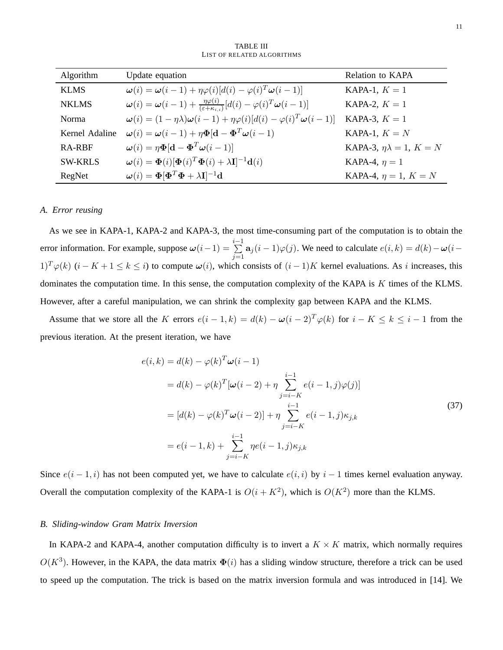| Algorithm      | Update equation                                                                                                                                           | Relation to KAPA                     |
|----------------|-----------------------------------------------------------------------------------------------------------------------------------------------------------|--------------------------------------|
| KLMS           | $\boldsymbol{\omega}(i) = \boldsymbol{\omega}(i-1) + \eta \varphi(i) [d(i) - \varphi(i)^T \boldsymbol{\omega}(i-1)]$                                      | KAPA-1, $K=1$                        |
| <b>NKLMS</b>   | $\boldsymbol{\omega}(i) = \boldsymbol{\omega}(i-1) + \frac{\eta \varphi(i)}{(\varepsilon + \kappa_{i,i})} [d(i) - \varphi(i)^T \boldsymbol{\omega}(i-1)]$ | KAPA-2, $K=1$                        |
| <b>Norma</b>   | $\boldsymbol{\omega}(i) = (1 - \eta \lambda) \boldsymbol{\omega}(i - 1) + \eta \varphi(i) [d(i) - \varphi(i)^T \boldsymbol{\omega}(i - 1)]$               | KAPA-3, $K=1$                        |
| Kernel Adaline | $\boldsymbol{\omega}(i) = \boldsymbol{\omega}(i-1) + \eta \boldsymbol{\Phi}[\mathbf{d} - \boldsymbol{\Phi}^T \boldsymbol{\omega}(i-1)]$                   | KAPA-1, $K = N$                      |
| RA-RBF         | $\boldsymbol{\omega}(i) = \eta \boldsymbol{\Phi}[\mathbf{d} - \boldsymbol{\Phi}^T \boldsymbol{\omega}(i-1)]$                                              | KAPA-3, $\eta \lambda = 1$ , $K = N$ |
| <b>SW-KRLS</b> | $\boldsymbol{\omega}(i) = \boldsymbol{\Phi}(i) [\boldsymbol{\Phi}(i)^T \boldsymbol{\Phi}(i) + \lambda \mathbf{I}]^{-1} \mathbf{d}(i)$                     | KAPA-4, $\eta = 1$                   |
| RegNet         | $\boldsymbol{\omega}(i) = \boldsymbol{\Phi}[\boldsymbol{\Phi}^T\boldsymbol{\Phi} + \lambda \mathbf{I}]^{-1}\mathbf{d}$                                    | KAPA-4, $\eta = 1, K = N$            |

TABLE III LIST OF RELATED ALGORITHMS

### *A. Error reusing*

As we see in KAPA-1, KAPA-2 and KAPA-3, the most time-consuming part of the computation is to obtain the error information. For example, suppose  $\omega(i-1) = \sum_{i=1}^{i-1}$  $\sum_{j=1}^{n} \mathbf{a}_j (i-1) \varphi(j)$ . We need to calculate  $e(i,k) = d(k) - \omega(i-k)$  $1)^T \varphi(k)$   $(i - K + 1 \le k \le i)$  to compute  $\omega(i)$ , which consists of  $(i - 1)K$  kernel evaluations. As i increases, this dominates the computation time. In this sense, the computation complexity of the KAPA is  $K$  times of the KLMS. However, after a careful manipulation, we can shrink the complexity gap between KAPA and the KLMS.

Assume that we store all the K errors  $e(i - 1, k) = d(k) - \omega(i - 2)^T \varphi(k)$  for  $i - K \le k \le i - 1$  from the previous iteration. At the present iteration, we have

$$
e(i,k) = d(k) - \varphi(k)^T \omega(i-1)
$$
  
=  $d(k) - \varphi(k)^T [\omega(i-2) + \eta \sum_{j=i-K}^{i-1} e(i-1,j)\varphi(j)]$   
=  $[d(k) - \varphi(k)^T \omega(i-2)] + \eta \sum_{j=i-K}^{i-1} e(i-1,j)\kappa_{j,k}$   
=  $e(i-1,k) + \sum_{j=i-K}^{i-1} \eta e(i-1,j)\kappa_{j,k}$  (37)

Since  $e(i-1,i)$  has not been computed yet, we have to calculate  $e(i,i)$  by  $i-1$  times kernel evaluation anyway. Overall the computation complexity of the KAPA-1 is  $O(i + K^2)$ , which is  $O(K^2)$  more than the KLMS.

# *B. Sliding-window Gram Matrix Inversion*

In KAPA-2 and KAPA-4, another computation difficulty is to invert a  $K \times K$  matrix, which normally requires  $O(K^3)$ . However, in the KAPA, the data matrix  $\Phi(i)$  has a sliding window structure, therefore a trick can be used to speed up the computation. The trick is based on the matrix inversion formula and was introduced in [14]. We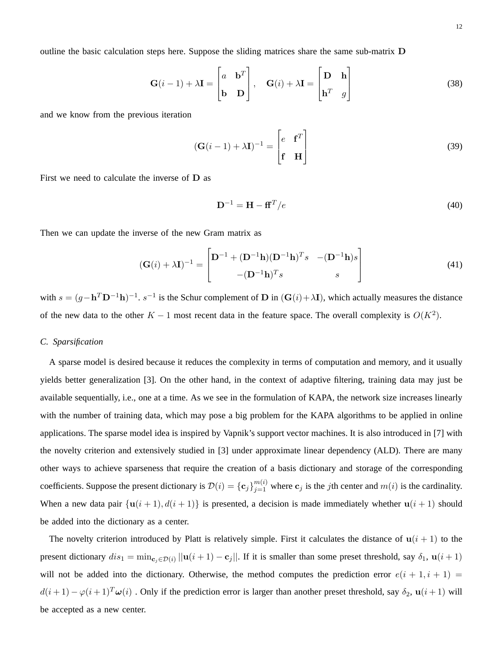outline the basic calculation steps here. Suppose the sliding matrices share the same sub-matrix D

$$
\mathbf{G}(i-1) + \lambda \mathbf{I} = \begin{bmatrix} a & \mathbf{b}^T \\ \mathbf{b} & \mathbf{D} \end{bmatrix}, \quad \mathbf{G}(i) + \lambda \mathbf{I} = \begin{bmatrix} \mathbf{D} & \mathbf{h} \\ \mathbf{h}^T & g \end{bmatrix}
$$
(38)

and we know from the previous iteration

$$
(\mathbf{G}(i-1) + \lambda \mathbf{I})^{-1} = \begin{bmatrix} e & \mathbf{f}^T \\ \mathbf{f} & \mathbf{H} \end{bmatrix}
$$
 (39)

First we need to calculate the inverse of D as

$$
\mathbf{D}^{-1} = \mathbf{H} - \mathbf{f}\mathbf{f}^T/e \tag{40}
$$

Then we can update the inverse of the new Gram matrix as

$$
(\mathbf{G}(i) + \lambda \mathbf{I})^{-1} = \begin{bmatrix} \mathbf{D}^{-1} + (\mathbf{D}^{-1}\mathbf{h})(\mathbf{D}^{-1}\mathbf{h})^T s & -(\mathbf{D}^{-1}\mathbf{h})s \\ -(\mathbf{D}^{-1}\mathbf{h})^T s & s \end{bmatrix}
$$
(41)

with  $s = (g - h^T D^{-1}h)^{-1}$ .  $s^{-1}$  is the Schur complement of D in  $(G(i) + \lambda I)$ , which actually measures the distance of the new data to the other  $K - 1$  most recent data in the feature space. The overall complexity is  $O(K^2)$ .

# *C. Sparsification*

A sparse model is desired because it reduces the complexity in terms of computation and memory, and it usually yields better generalization [3]. On the other hand, in the context of adaptive filtering, training data may just be available sequentially, i.e., one at a time. As we see in the formulation of KAPA, the network size increases linearly with the number of training data, which may pose a big problem for the KAPA algorithms to be applied in online applications. The sparse model idea is inspired by Vapnik's support vector machines. It is also introduced in [7] with the novelty criterion and extensively studied in [3] under approximate linear dependency (ALD). There are many other ways to achieve sparseness that require the creation of a basis dictionary and storage of the corresponding coefficients. Suppose the present dictionary is  $\mathcal{D}(i) = {\{\mathbf{c}_j\}}_{j=1}^{m(i)}$  where  $\mathbf{c}_j$  is the *j*th center and  $m(i)$  is the cardinality. When a new data pair  $\{u(i + 1), d(i + 1)\}\$ is presented, a decision is made immediately whether  $u(i + 1)$  should be added into the dictionary as a center.

The novelty criterion introduced by Platt is relatively simple. First it calculates the distance of  $u(i + 1)$  to the present dictionary  $dis_1 = \min_{\mathbf{c}_j \in \mathcal{D}(i)} ||\mathbf{u}(i+1) - \mathbf{c}_j||$ . If it is smaller than some preset threshold, say  $\delta_1$ ,  $\mathbf{u}(i+1)$ will not be added into the dictionary. Otherwise, the method computes the prediction error  $e(i + 1, i + 1) =$  $d(i+1) - \varphi(i+1)^T \omega(i)$ . Only if the prediction error is larger than another preset threshold, say  $\delta_2$ ,  $\mathbf{u}(i+1)$  will be accepted as a new center.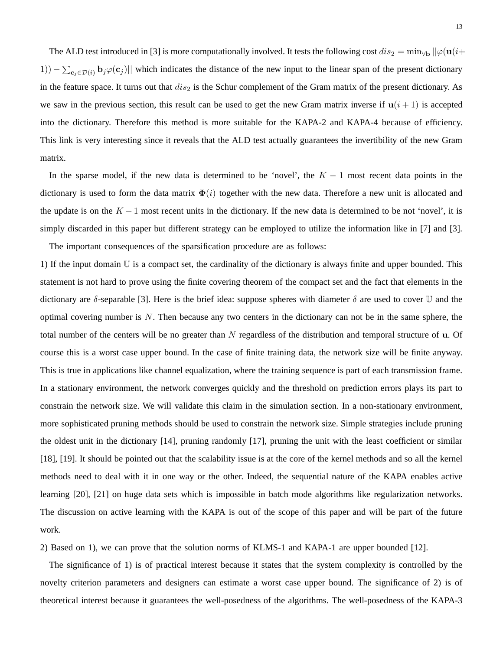The ALD test introduced in [3] is more computationally involved. It tests the following cost  $dis_2 = \min_{\forall \mathbf{b}} ||\varphi(\mathbf{u}(i+\alpha))||$ 1)) –  $\sum_{c_j \in \mathcal{D}(i)} \mathbf{b}_j \varphi(c_j)$  which indicates the distance of the new input to the linear span of the present dictionary in the feature space. It turns out that  $dis_2$  is the Schur complement of the Gram matrix of the present dictionary. As we saw in the previous section, this result can be used to get the new Gram matrix inverse if  $u(i + 1)$  is accepted into the dictionary. Therefore this method is more suitable for the KAPA-2 and KAPA-4 because of efficiency. This link is very interesting since it reveals that the ALD test actually guarantees the invertibility of the new Gram matrix.

In the sparse model, if the new data is determined to be 'novel', the  $K - 1$  most recent data points in the dictionary is used to form the data matrix  $\Phi(i)$  together with the new data. Therefore a new unit is allocated and the update is on the  $K - 1$  most recent units in the dictionary. If the new data is determined to be not 'novel', it is simply discarded in this paper but different strategy can be employed to utilize the information like in [7] and [3].

The important consequences of the sparsification procedure are as follows:

1) If the input domain  $\mathbb U$  is a compact set, the cardinality of the dictionary is always finite and upper bounded. This statement is not hard to prove using the finite covering theorem of the compact set and the fact that elements in the dictionary are δ-separable [3]. Here is the brief idea: suppose spheres with diameter  $\delta$  are used to cover U and the optimal covering number is  $N$ . Then because any two centers in the dictionary can not be in the same sphere, the total number of the centers will be no greater than  $N$  regardless of the distribution and temporal structure of  $\bf{u}$ . Of course this is a worst case upper bound. In the case of finite training data, the network size will be finite anyway. This is true in applications like channel equalization, where the training sequence is part of each transmission frame. In a stationary environment, the network converges quickly and the threshold on prediction errors plays its part to constrain the network size. We will validate this claim in the simulation section. In a non-stationary environment, more sophisticated pruning methods should be used to constrain the network size. Simple strategies include pruning the oldest unit in the dictionary [14], pruning randomly [17], pruning the unit with the least coefficient or similar [18], [19]. It should be pointed out that the scalability issue is at the core of the kernel methods and so all the kernel methods need to deal with it in one way or the other. Indeed, the sequential nature of the KAPA enables active learning [20], [21] on huge data sets which is impossible in batch mode algorithms like regularization networks. The discussion on active learning with the KAPA is out of the scope of this paper and will be part of the future work.

2) Based on 1), we can prove that the solution norms of KLMS-1 and KAPA-1 are upper bounded [12].

The significance of 1) is of practical interest because it states that the system complexity is controlled by the novelty criterion parameters and designers can estimate a worst case upper bound. The significance of 2) is of theoretical interest because it guarantees the well-posedness of the algorithms. The well-posedness of the KAPA-3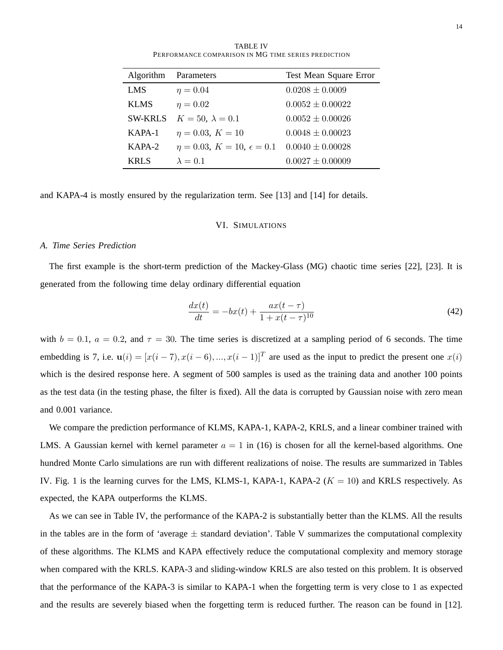TABLE IV PERFORMANCE COMPARISON IN MG TIME SERIES PREDICTION

| Algorithm      | Parameters                                                     | Test Mean Square Error |
|----------------|----------------------------------------------------------------|------------------------|
| <b>LMS</b>     | $\eta = 0.04$                                                  | $0.0208 \pm 0.0009$    |
| <b>KLMS</b>    | $\eta = 0.02$                                                  | $0.0052 \pm 0.00022$   |
| <b>SW-KRLS</b> | $K=50, \lambda=0.1$                                            | $0.0052 \pm 0.00026$   |
| $KAPA-1$       | $\eta = 0.03, K = 10$                                          | $0.0048 \pm 0.00023$   |
| $KAPA-2$       | $\eta = 0.03, K = 10, \epsilon = 0.1 \quad 0.0040 \pm 0.00028$ |                        |
| KRL S          | $\lambda = 0.1$                                                | $0.0027 \pm 0.00009$   |

and KAPA-4 is mostly ensured by the regularization term. See [13] and [14] for details.

# VI. SIMULATIONS

# *A. Time Series Prediction*

The first example is the short-term prediction of the Mackey-Glass (MG) chaotic time series [22], [23]. It is generated from the following time delay ordinary differential equation

$$
\frac{dx(t)}{dt} = -bx(t) + \frac{ax(t-\tau)}{1+x(t-\tau)^{10}}\tag{42}
$$

with  $b = 0.1$ ,  $a = 0.2$ , and  $\tau = 30$ . The time series is discretized at a sampling period of 6 seconds. The time embedding is 7, i.e.  $\mathbf{u}(i) = [x(i-7), x(i-6), ..., x(i-1)]^T$  are used as the input to predict the present one  $x(i)$ which is the desired response here. A segment of 500 samples is used as the training data and another 100 points as the test data (in the testing phase, the filter is fixed). All the data is corrupted by Gaussian noise with zero mean and 0.001 variance.

We compare the prediction performance of KLMS, KAPA-1, KAPA-2, KRLS, and a linear combiner trained with LMS. A Gaussian kernel with kernel parameter  $a = 1$  in (16) is chosen for all the kernel-based algorithms. One hundred Monte Carlo simulations are run with different realizations of noise. The results are summarized in Tables IV. Fig. 1 is the learning curves for the LMS, KLMS-1, KAPA-1, KAPA-2 ( $K = 10$ ) and KRLS respectively. As expected, the KAPA outperforms the KLMS.

As we can see in Table IV, the performance of the KAPA-2 is substantially better than the KLMS. All the results in the tables are in the form of 'average  $\pm$  standard deviation'. Table V summarizes the computational complexity of these algorithms. The KLMS and KAPA effectively reduce the computational complexity and memory storage when compared with the KRLS. KAPA-3 and sliding-window KRLS are also tested on this problem. It is observed that the performance of the KAPA-3 is similar to KAPA-1 when the forgetting term is very close to 1 as expected and the results are severely biased when the forgetting term is reduced further. The reason can be found in [12].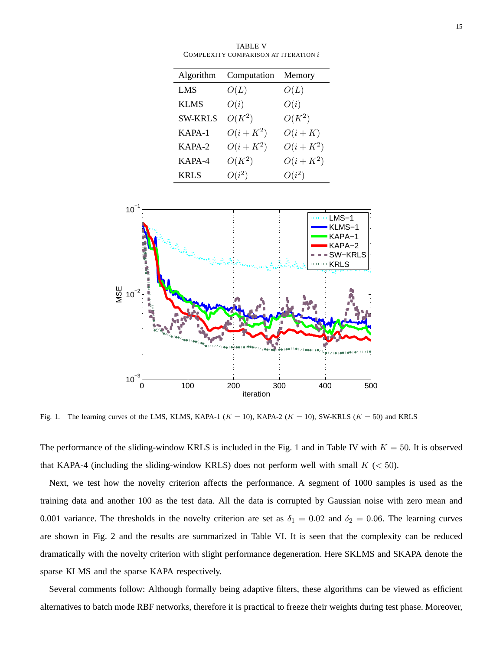| .<br>COMPLEXITY COMPARISON AT ITERATION $i$ |          |  |  |
|---------------------------------------------|----------|--|--|
| Algorithm Computation Memory                |          |  |  |
| O(L)                                        | O(L)     |  |  |
| O(i)                                        | O(i)     |  |  |
| $O(K^2)$                                    | $O(K^2)$ |  |  |
|                                             |          |  |  |

TABLE V

| $SW-KRLS$ $O(K^2)$ |            | $O(K^2)$   |
|--------------------|------------|------------|
| $KAPA-1$           | $O(i+K^2)$ | $O(i+K)$   |
| $KAPA-2$           | $O(i+K^2)$ | $O(i+K^2)$ |
| KAPA-4             | $O(K^2)$   | $O(i+K^2)$ |
| <b>KRLS</b>        | $O(i^2)$   | $O(i^2)$   |



Fig. 1. The learning curves of the LMS, KLMS, KAPA-1 ( $K = 10$ ), KAPA-2 ( $K = 10$ ), SW-KRLS ( $K = 50$ ) and KRLS

The performance of the sliding-window KRLS is included in the Fig. 1 and in Table IV with  $K = 50$ . It is observed that KAPA-4 (including the sliding-window KRLS) does not perform well with small  $K \, (< 50)$ .

Next, we test how the novelty criterion affects the performance. A segment of 1000 samples is used as the training data and another 100 as the test data. All the data is corrupted by Gaussian noise with zero mean and 0.001 variance. The thresholds in the novelty criterion are set as  $\delta_1 = 0.02$  and  $\delta_2 = 0.06$ . The learning curves are shown in Fig. 2 and the results are summarized in Table VI. It is seen that the complexity can be reduced dramatically with the novelty criterion with slight performance degeneration. Here SKLMS and SKAPA denote the sparse KLMS and the sparse KAPA respectively.

Several comments follow: Although formally being adaptive filters, these algorithms can be viewed as efficient alternatives to batch mode RBF networks, therefore it is practical to freeze their weights during test phase. Moreover,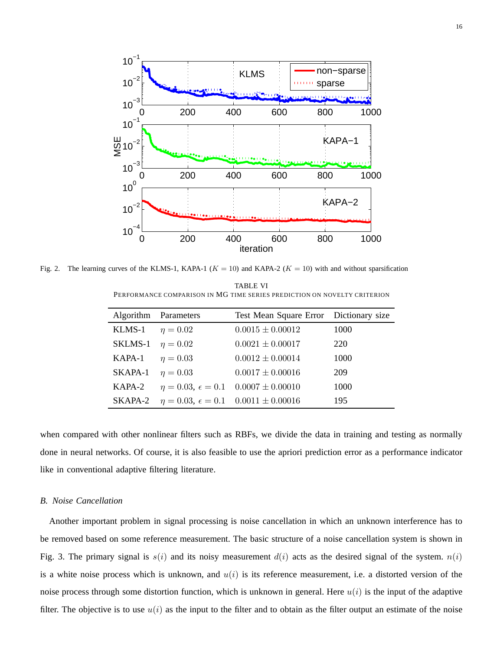

Fig. 2. The learning curves of the KLMS-1, KAPA-1 ( $K = 10$ ) and KAPA-2 ( $K = 10$ ) with and without sparsification

TABLE VI PERFORMANCE COMPARISON IN MG TIME SERIES PREDICTION ON NOVELTY CRITERION

|                             | Algorithm Parameters                                          | Test Mean Square Error Dictionary size                   |      |
|-----------------------------|---------------------------------------------------------------|----------------------------------------------------------|------|
| KLMS-1 $\eta = 0.02$        |                                                               | $0.0015 \pm 0.00012$                                     | 1000 |
| SKLMS-1 $\eta = 0.02$       |                                                               | $0.0021 \pm 0.00017$                                     | 220  |
| <b>KAPA-1</b> $\eta = 0.03$ |                                                               | $0.0012 \pm 0.00014$                                     | 1000 |
| SKAPA-1                     | $\eta = 0.03$                                                 | $0.0017 \pm 0.00016$                                     | 209  |
| KAPA-2                      |                                                               | $\eta = 0.03, \ \epsilon = 0.1 \quad 0.0007 \pm 0.00010$ | 1000 |
|                             | SKAPA-2 $\eta = 0.03$ , $\epsilon = 0.1$ $0.0011 \pm 0.00016$ |                                                          | 195  |

when compared with other nonlinear filters such as RBFs, we divide the data in training and testing as normally done in neural networks. Of course, it is also feasible to use the apriori prediction error as a performance indicator like in conventional adaptive filtering literature.

# *B. Noise Cancellation*

Another important problem in signal processing is noise cancellation in which an unknown interference has to be removed based on some reference measurement. The basic structure of a noise cancellation system is shown in Fig. 3. The primary signal is  $s(i)$  and its noisy measurement  $d(i)$  acts as the desired signal of the system.  $n(i)$ is a white noise process which is unknown, and  $u(i)$  is its reference measurement, i.e. a distorted version of the noise process through some distortion function, which is unknown in general. Here  $u(i)$  is the input of the adaptive filter. The objective is to use  $u(i)$  as the input to the filter and to obtain as the filter output an estimate of the noise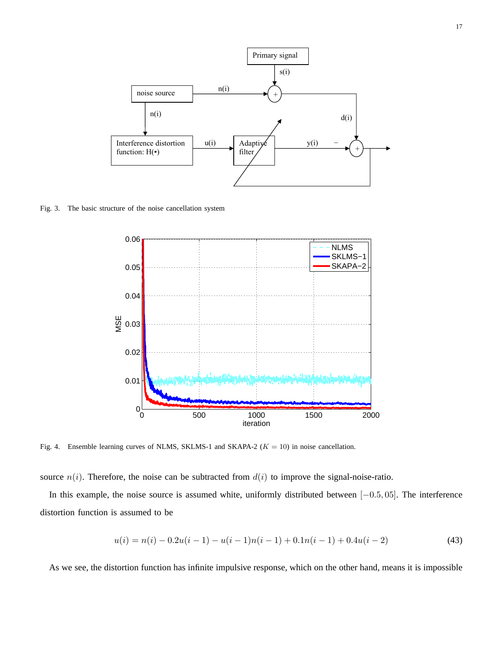

Fig. 3. The basic structure of the noise cancellation system



Fig. 4. Ensemble learning curves of NLMS, SKLMS-1 and SKAPA-2 ( $K = 10$ ) in noise cancellation.

source  $n(i)$ . Therefore, the noise can be subtracted from  $d(i)$  to improve the signal-noise-ratio.

In this example, the noise source is assumed white, uniformly distributed between [−0.5, 05]. The interference distortion function is assumed to be

$$
u(i) = n(i) - 0.2u(i-1) - u(i-1)n(i-1) + 0.1n(i-1) + 0.4u(i-2)
$$
\n(43)

As we see, the distortion function has infinite impulsive response, which on the other hand, means it is impossible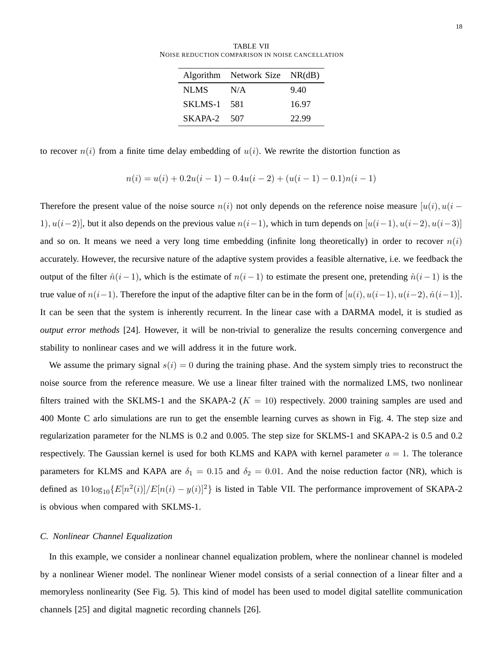TABLE VII NOISE REDUCTION COMPARISON IN NOISE CANCELLATION

|               | Algorithm Network Size NR(dB) |       |
|---------------|-------------------------------|-------|
| NLMS.         | N/A                           | 9.40  |
| SKLMS-1 581   |                               | 16.97 |
| $SKAPA-2$ 507 |                               | 22.99 |

to recover  $n(i)$  from a finite time delay embedding of  $u(i)$ . We rewrite the distortion function as

$$
n(i) = u(i) + 0.2u(i - 1) - 0.4u(i - 2) + (u(i - 1) - 0.1)n(i - 1)
$$

Therefore the present value of the noise source  $n(i)$  not only depends on the reference noise measure  $[u(i), u(i -$ 1),  $u(i-2)$ ], but it also depends on the previous value  $n(i-1)$ , which in turn depends on  $[u(i-1), u(i-2), u(i-3)]$ and so on. It means we need a very long time embedding (infinite long theoretically) in order to recover  $n(i)$ accurately. However, the recursive nature of the adaptive system provides a feasible alternative, i.e. we feedback the output of the filter  $\hat{n}(i-1)$ , which is the estimate of  $n(i-1)$  to estimate the present one, pretending  $\hat{n}(i-1)$  is the true value of  $n(i-1)$ . Therefore the input of the adaptive filter can be in the form of  $[u(i), u(i-1), u(i-2), \hat{n}(i-1)]$ . It can be seen that the system is inherently recurrent. In the linear case with a DARMA model, it is studied as *output error methods* [24]. However, it will be non-trivial to generalize the results concerning convergence and stability to nonlinear cases and we will address it in the future work.

We assume the primary signal  $s(i) = 0$  during the training phase. And the system simply tries to reconstruct the noise source from the reference measure. We use a linear filter trained with the normalized LMS, two nonlinear filters trained with the SKLMS-1 and the SKAPA-2 ( $K = 10$ ) respectively. 2000 training samples are used and 400 Monte C arlo simulations are run to get the ensemble learning curves as shown in Fig. 4. The step size and regularization parameter for the NLMS is 0.2 and 0.005. The step size for SKLMS-1 and SKAPA-2 is 0.5 and 0.2 respectively. The Gaussian kernel is used for both KLMS and KAPA with kernel parameter  $a = 1$ . The tolerance parameters for KLMS and KAPA are  $\delta_1 = 0.15$  and  $\delta_2 = 0.01$ . And the noise reduction factor (NR), which is defined as  $10\log_{10}\{E[n^2(i)]/E[n(i) - y(i)]^2\}$  is listed in Table VII. The performance improvement of SKAPA-2 is obvious when compared with SKLMS-1.

# *C. Nonlinear Channel Equalization*

In this example, we consider a nonlinear channel equalization problem, where the nonlinear channel is modeled by a nonlinear Wiener model. The nonlinear Wiener model consists of a serial connection of a linear filter and a memoryless nonlinearity (See Fig. 5). This kind of model has been used to model digital satellite communication channels [25] and digital magnetic recording channels [26].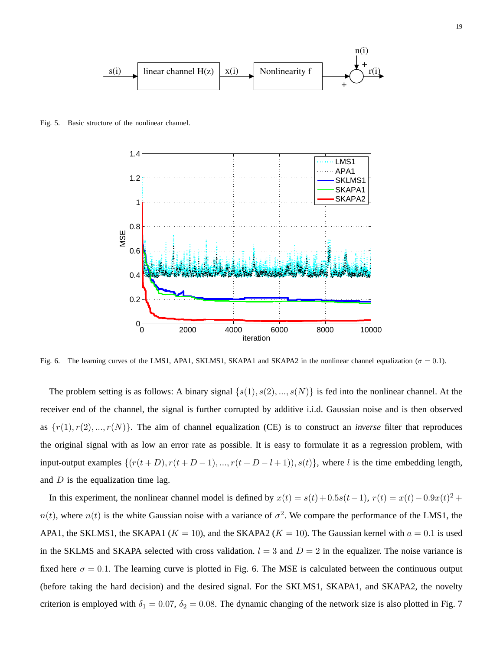

Fig. 5. Basic structure of the nonlinear channel.



Fig. 6. The learning curves of the LMS1, APA1, SKLMS1, SKAPA1 and SKAPA2 in the nonlinear channel equalization ( $\sigma = 0.1$ ).

The problem setting is as follows: A binary signal  $\{s(1), s(2), ..., s(N)\}\$ is fed into the nonlinear channel. At the receiver end of the channel, the signal is further corrupted by additive i.i.d. Gaussian noise and is then observed as  $\{r(1), r(2), ..., r(N)\}$ . The aim of channel equalization (CE) is to construct an *inverse* filter that reproduces the original signal with as low an error rate as possible. It is easy to formulate it as a regression problem, with input-output examples  $\{(r(t+D), r(t+D-1), ..., r(t+D-l+1)), s(t)\}$ , where l is the time embedding length, and  $D$  is the equalization time lag.

In this experiment, the nonlinear channel model is defined by  $x(t) = s(t) + 0.5s(t-1)$ ,  $r(t) = x(t) - 0.9x(t)^2 +$  $n(t)$ , where  $n(t)$  is the white Gaussian noise with a variance of  $\sigma^2$ . We compare the performance of the LMS1, the APA1, the SKLMS1, the SKAPA1 ( $K = 10$ ), and the SKAPA2 ( $K = 10$ ). The Gaussian kernel with  $a = 0.1$  is used in the SKLMS and SKAPA selected with cross validation.  $l = 3$  and  $D = 2$  in the equalizer. The noise variance is fixed here  $\sigma = 0.1$ . The learning curve is plotted in Fig. 6. The MSE is calculated between the continuous output (before taking the hard decision) and the desired signal. For the SKLMS1, SKAPA1, and SKAPA2, the novelty criterion is employed with  $\delta_1 = 0.07$ ,  $\delta_2 = 0.08$ . The dynamic changing of the network size is also plotted in Fig. 7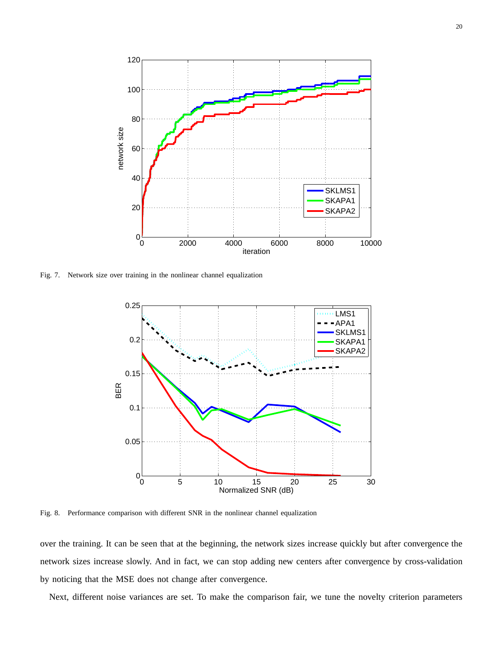

Fig. 7. Network size over training in the nonlinear channel equalization



Fig. 8. Performance comparison with different SNR in the nonlinear channel equalization

over the training. It can be seen that at the beginning, the network sizes increase quickly but after convergence the network sizes increase slowly. And in fact, we can stop adding new centers after convergence by cross-validation by noticing that the MSE does not change after convergence.

Next, different noise variances are set. To make the comparison fair, we tune the novelty criterion parameters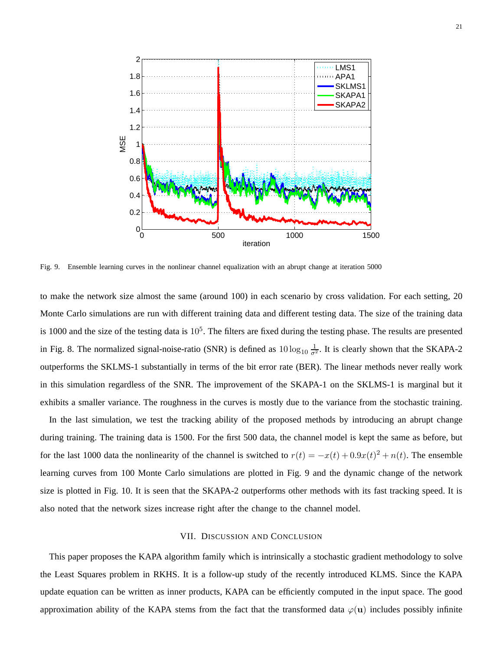

Fig. 9. Ensemble learning curves in the nonlinear channel equalization with an abrupt change at iteration 5000

to make the network size almost the same (around 100) in each scenario by cross validation. For each setting, 20 Monte Carlo simulations are run with different training data and different testing data. The size of the training data is 1000 and the size of the testing data is  $10^5$ . The filters are fixed during the testing phase. The results are presented in Fig. 8. The normalized signal-noise-ratio (SNR) is defined as  $10 \log_{10} \frac{1}{\sigma^2}$ . It is clearly shown that the SKAPA-2 outperforms the SKLMS-1 substantially in terms of the bit error rate (BER). The linear methods never really work in this simulation regardless of the SNR. The improvement of the SKAPA-1 on the SKLMS-1 is marginal but it exhibits a smaller variance. The roughness in the curves is mostly due to the variance from the stochastic training.

In the last simulation, we test the tracking ability of the proposed methods by introducing an abrupt change during training. The training data is 1500. For the first 500 data, the channel model is kept the same as before, but for the last 1000 data the nonlinearity of the channel is switched to  $r(t) = -x(t) + 0.9x(t)^2 + n(t)$ . The ensemble learning curves from 100 Monte Carlo simulations are plotted in Fig. 9 and the dynamic change of the network size is plotted in Fig. 10. It is seen that the SKAPA-2 outperforms other methods with its fast tracking speed. It is also noted that the network sizes increase right after the change to the channel model.

### VII. DISCUSSION AND CONCLUSION

This paper proposes the KAPA algorithm family which is intrinsically a stochastic gradient methodology to solve the Least Squares problem in RKHS. It is a follow-up study of the recently introduced KLMS. Since the KAPA update equation can be written as inner products, KAPA can be efficiently computed in the input space. The good approximation ability of the KAPA stems from the fact that the transformed data  $\varphi(\mathbf{u})$  includes possibly infinite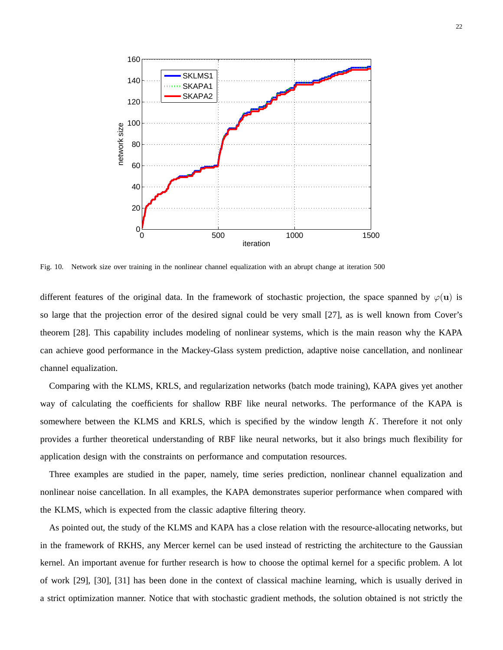

Fig. 10. Network size over training in the nonlinear channel equalization with an abrupt change at iteration 500

different features of the original data. In the framework of stochastic projection, the space spanned by  $\varphi(\mathbf{u})$  is so large that the projection error of the desired signal could be very small [27], as is well known from Cover's theorem [28]. This capability includes modeling of nonlinear systems, which is the main reason why the KAPA can achieve good performance in the Mackey-Glass system prediction, adaptive noise cancellation, and nonlinear channel equalization.

Comparing with the KLMS, KRLS, and regularization networks (batch mode training), KAPA gives yet another way of calculating the coefficients for shallow RBF like neural networks. The performance of the KAPA is somewhere between the KLMS and KRLS, which is specified by the window length K. Therefore it not only provides a further theoretical understanding of RBF like neural networks, but it also brings much flexibility for application design with the constraints on performance and computation resources.

Three examples are studied in the paper, namely, time series prediction, nonlinear channel equalization and nonlinear noise cancellation. In all examples, the KAPA demonstrates superior performance when compared with the KLMS, which is expected from the classic adaptive filtering theory.

As pointed out, the study of the KLMS and KAPA has a close relation with the resource-allocating networks, but in the framework of RKHS, any Mercer kernel can be used instead of restricting the architecture to the Gaussian kernel. An important avenue for further research is how to choose the optimal kernel for a specific problem. A lot of work [29], [30], [31] has been done in the context of classical machine learning, which is usually derived in a strict optimization manner. Notice that with stochastic gradient methods, the solution obtained is not strictly the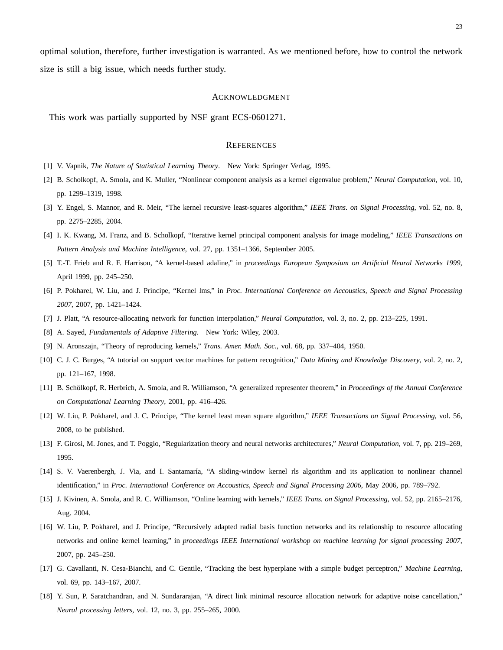optimal solution, therefore, further investigation is warranted. As we mentioned before, how to control the network size is still a big issue, which needs further study.

#### ACKNOWLEDGMENT

This work was partially supported by NSF grant ECS-0601271.

### **REFERENCES**

- [1] V. Vapnik, *The Nature of Statistical Learning Theory*. New York: Springer Verlag, 1995.
- [2] B. Scholkopf, A. Smola, and K. Muller, "Nonlinear component analysis as a kernel eigenvalue problem," *Neural Computation*, vol. 10, pp. 1299–1319, 1998.
- [3] Y. Engel, S. Mannor, and R. Meir, "The kernel recursive least-squares algorithm," *IEEE Trans. on Signal Processing*, vol. 52, no. 8, pp. 2275–2285, 2004.
- [4] I. K. Kwang, M. Franz, and B. Scholkopf, "Iterative kernel principal component analysis for image modeling," *IEEE Transactions on Pattern Analysis and Machine Intelligence*, vol. 27, pp. 1351–1366, September 2005.
- [5] T.-T. Frieb and R. F. Harrison, "A kernel-based adaline," in *proceedings European Symposium on Artificial Neural Networks 1999*, April 1999, pp. 245–250.
- [6] P. Pokharel, W. Liu, and J. Pr´ıncipe, "Kernel lms," in *Proc. International Conference on Accoustics, Speech and Signal Processing 2007*, 2007, pp. 1421–1424.
- [7] J. Platt, "A resource-allocating network for function interpolation," *Neural Computation*, vol. 3, no. 2, pp. 213–225, 1991.
- [8] A. Sayed, *Fundamentals of Adaptive Filtering*. New York: Wiley, 2003.
- [9] N. Aronszajn, "Theory of reproducing kernels," *Trans. Amer. Math. Soc.*, vol. 68, pp. 337–404, 1950.
- [10] C. J. C. Burges, "A tutorial on support vector machines for pattern recognition," *Data Mining and Knowledge Discovery*, vol. 2, no. 2, pp. 121–167, 1998.
- [11] B. Sch¨olkopf, R. Herbrich, A. Smola, and R. Williamson, "A generalized representer theorem," in *Proceedings of the Annual Conference on Computational Learning Theory*, 2001, pp. 416–426.
- [12] W. Liu, P. Pokharel, and J. C. Príncipe, "The kernel least mean square algorithm," *IEEE Transactions on Signal Processing*, vol. 56, 2008, to be published.
- [13] F. Girosi, M. Jones, and T. Poggio, "Regularization theory and neural networks architectures," *Neural Computation*, vol. 7, pp. 219–269, 1995.
- [14] S. V. Vaerenbergh, J. Via, and I. Santamaría, "A sliding-window kernel rls algorithm and its application to nonlinear channel identification," in *Proc. International Conference on Accoustics, Speech and Signal Processing 2006*, May 2006, pp. 789–792.
- [15] J. Kivinen, A. Smola, and R. C. Williamson, "Online learning with kernels," *IEEE Trans. on Signal Processing*, vol. 52, pp. 2165–2176, Aug. 2004.
- [16] W. Liu, P. Pokharel, and J. Príncipe, "Recursively adapted radial basis function networks and its relationship to resource allocating networks and online kernel learning," in *proceedings IEEE International workshop on machine learning for signal processing 2007*, 2007, pp. 245–250.
- [17] G. Cavallanti, N. Cesa-Bianchi, and C. Gentile, "Tracking the best hyperplane with a simple budget perceptron," *Machine Learning*, vol. 69, pp. 143–167, 2007.
- [18] Y. Sun, P. Saratchandran, and N. Sundararajan, "A direct link minimal resource allocation network for adaptive noise cancellation," *Neural processing letters*, vol. 12, no. 3, pp. 255–265, 2000.